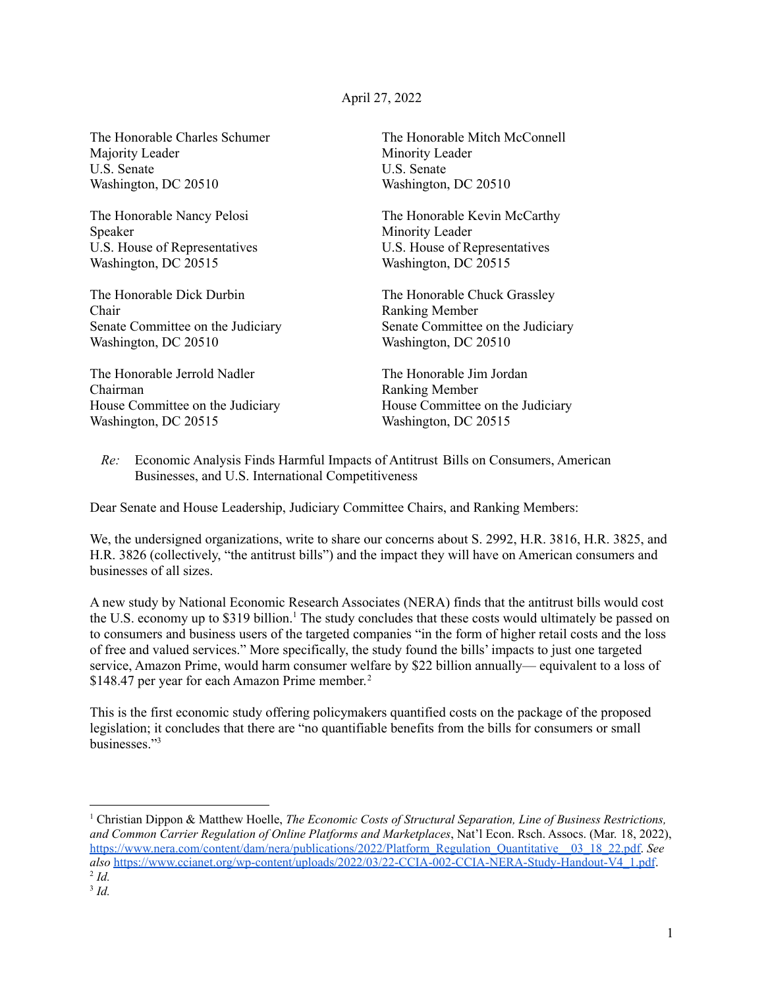## April 27, 2022

The Honorable Charles Schumer Majority Leader U.S. Senate Washington, DC 20510

The Honorable Nancy Pelosi Speaker U.S. House of Representatives Washington, DC 20515

The Honorable Dick Durbin Chair Senate Committee on the Judiciary Washington, DC 20510

The Honorable Jerrold Nadler Chairman House Committee on the Judiciary Washington, DC 20515

The Honorable Mitch McConnell Minority Leader U.S. Senate Washington, DC 20510

The Honorable Kevin McCarthy Minority Leader U.S. House of Representatives Washington, DC 20515

The Honorable Chuck Grassley Ranking Member Senate Committee on the Judiciary Washington, DC 20510

The Honorable Jim Jordan Ranking Member House Committee on the Judiciary Washington, DC 20515

*Re:* Economic Analysis Finds Harmful Impacts of Antitrust Bills on Consumers, American Businesses, and U.S. International Competitiveness

Dear Senate and House Leadership, Judiciary Committee Chairs, and Ranking Members:

We, the undersigned organizations, write to share our concerns about S. 2992, H.R. 3816, H.R. 3825, and H.R. 3826 (collectively, "the antitrust bills") and the impact they will have on American consumers and businesses of all sizes.

A new study by National Economic Research Associates (NERA) finds that the antitrust bills would cost the U.S. economy up to \$319 billion. <sup>1</sup> The study concludes that these costs would ultimately be passed on to consumers and business users of the targeted companies "in the form of higher retail costs and the loss of free and valued services." More specifically, the study found the bills' impacts to just one targeted service, Amazon Prime, would harm consumer welfare by \$22 billion annually— equivalent to a loss of \$148.47 per year for each Amazon Prime member.<sup>2</sup>

This is the first economic study offering policymakers quantified costs on the package of the proposed legislation; it concludes that there are "no quantifiable benefits from the bills for consumers or small businesses." 3

2 *Id.* <sup>1</sup> Christian Dippon & Matthew Hoelle, *The Economic Costs of Structural Separation, Line of Business Restrictions, and Common Carrier Regulation of Online Platforms and Marketplaces*, Nat'l Econ. Rsch. Assocs. (Mar. 18, 2022), [https://www.nera.com/content/dam/nera/publications/2022/Platform\\_Regulation\\_Quantitative\\_\\_03\\_18\\_22.pdf.](https://www.nera.com/content/dam/nera/publications/2022/Platform_Regulation_Quantitative__03_18_22.pdf) *See also* [https://www.ccianet.org/wp-content/uploads/2022/03/22-CCIA-002-CCIA-NERA-Study-Handout-V4\\_1.pdf](https://www.ccianet.org/wp-content/uploads/2022/03/22-CCIA-002-CCIA-NERA-Study-Handout-V4_1.pdf).

<sup>3</sup> *Id.*